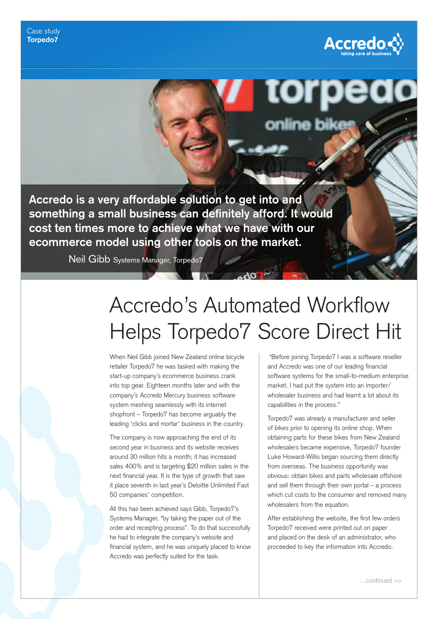

**Accredo is a very affordable solution to get into and**  something a small business can definitely afford. It would **cost ten times more to achieve what we have with our ecommerce model using other tools on the market.**

Neil Gibb Systems Manager, Torpedo7

## Accredo's Automated Workflow Helps Torpedo7 Score Direct Hit

When Neil Gibb joined New Zealand online bicycle retailer Torpedo7 he was tasked with making the start-up company's ecommerce business crank into top gear. Eighteen months later and with the company's Accredo Mercury business software system meshing seamlessly with its internet shopfront – Torpedo7 has become arguably the leading 'clicks and mortar' business in the country.

The company is now approaching the end of its second year in business and its website receives around 30 million hits a month; it has increased sales 400% and is targeting \$20 million sales in the next financial year. It is the type of growth that saw it place seventh in last year's Deloitte Unlimited Fast 50 companies' competition.

All this has been achieved says Gibb, Torpedo7's Systems Manager, "by taking the paper out of the order and receipting process". To do that successfully he had to integrate the company's website and financial system, and he was uniquely placed to know Accredo was perfectly suited for the task.

 "Before joining Torpedo7 I was a software reseller and Accredo was one of our leading financial software systems for the small-to-medium enterprise market. I had put the system into an importer/ wholesaler business and had learnt a lot about its capabilities in the process."

Torpedo7 was already a manufacturer and seller of bikes prior to opening its online shop. When obtaining parts for these bikes from New Zealand wholesalers became expensive, Torpedo7 founder Luke Howard-Willis began sourcing them directly from overseas. The business opportunity was obvious: obtain bikes and parts wholesale offshore and sell them through their own portal – a process which cut costs to the consumer and removed many wholesalers from the equation.

After establishing the website, the first few orders Torpedo7 received were printed out on paper and placed on the desk of an administrator, who proceeded to key the information into Accredo.